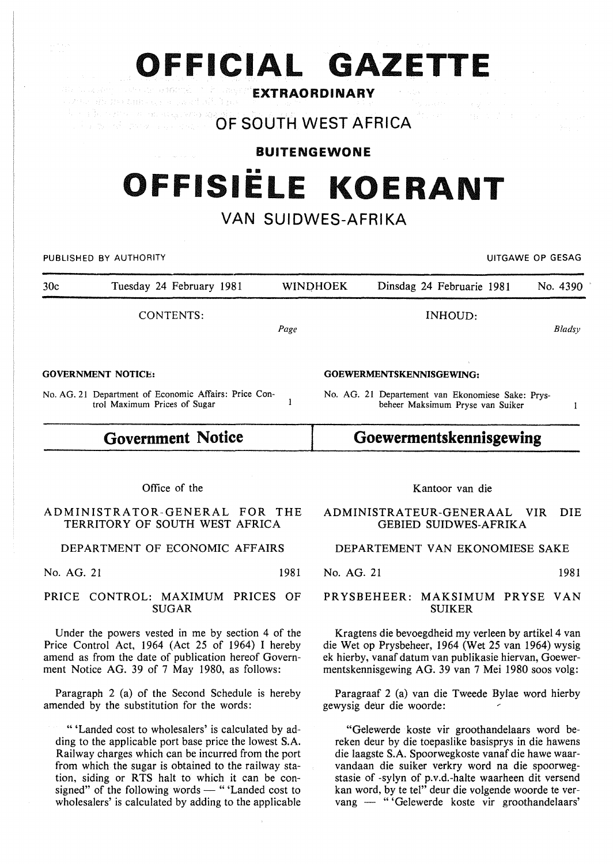**EXTRAORDINARY** t die zweizungen ein gabet St. Tuge

a la regime di categoria, vita ap **OF SOUTH WEST AFRICA** 

# **BUITENGEWONE**  •• **OFFISIELE KOERANT**

## **VAN SUIDWES-AFRIKA**

PUBLISHED BY AUTHORITY **EXAMPLE ASSAULTS AND THE SECOND ASSAULTS OF A SECOND ASSAULTS OF GESAG** 

30c Tuesday 24 February 1981 WINO HOEK Dinsdag 24 Februarie 1981 No. 4390 CONTENTS: GOVERNMENT NOTICE: *Page*  INHOUD: GOEWERMENTSKENNISGEWING: *Bladsy* 

No. AG. 21 Department of Economic Affairs: Price Control Maximum Prices of Sugar

## **Government Notice**

# **Goewermentskennisgewing**

No. AG. 21 Departement van Ekonomiese Sake: Prysbeheer Maksimum Pryse van Suiker

Office of the

### ADMINISTRATOR-GENERAL FOR THE TERRITORY OF SOUTH WEST AFRICA

DEPARTMENT OF ECONOMIC AFFAIRS

No. AG. 21 1981

### PRICE CONTROL: MAXIMUM PRICES OF SUGAR

Under the powers vested in me by section 4 of the Price Control Act, 1964 (Act 25 of 1964) I hereby amend as from the date of publication hereof Government Notice AG. 39 of 7 May 1980, as follows:

Paragraph 2 (a) of the Second Schedule is hereby amended by the substitution for the words:

" 'Landed cost to wholesalers' is calculated by adding to the applicable port base price the lowest S.A. Railway charges which can be incurred from the port from which the sugar is obtained to the railway station, siding or RTS halt to which it can be consigned" of the following words - "'Landed cost to wholesalers' is calculated by adding to the applicable Kantoor van die

### ADMINISTRATEUR-GENERAAL VIR DIE GEBIED SUIDWES-AFRIKA

### DEPARTEMENT VAN EKONOMIESE SAKE

No. AG. 21 1981

PRYSBEHEER: MAKSIMUM PRYSE VAN SUIKER

Kragtens die bevoegdheid my verleen by artikel 4 van die Wet op Prysbeheer, 1964 (Wet 25 van 1964) wysig ek hierby, vanaf datum van publikasie hiervan, Goewermentskennisgewing AG. 39 van 7 Mei 1980 soos volg:

Paragraaf 2 (a) van die Tweede Bylae word hierby gewysig deur die woorde:

"Gelewerde koste vir groothandelaars word bereken deur by die toepaslike basisprys in die hawens die laagste S.A. Spoorwegkoste vanaf die hawe waarvandaan die suiker verkry word na die spoorwegstasie of -sylyn of p.v.d.-halte waarheen dit versend kan word, by te tel" deur die volgende woorde te vervang - "'Gelewerde koste vir groothandelaars'

 $\mathbf{1}$